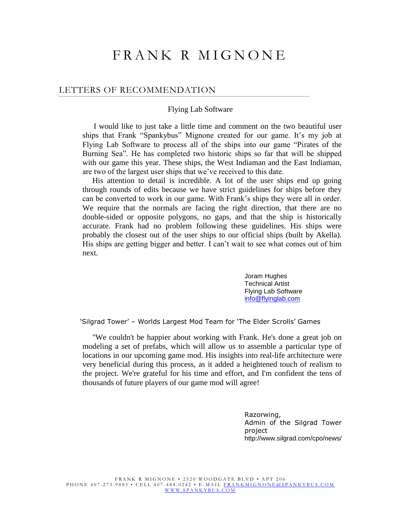## FRANK R MIGNONE

#### LETTERS OF RECOMMENDATION

#### Flying Lab Software

 I would like to just take a little time and comment on the two beautiful user ships that Frank "Spankybus" Mignone created for our game. It's my job at Flying Lab Software to process all of the ships into our game "Pirates of the Burning Sea". He has completed two historic ships so far that will be shipped with our game this year. These ships, the West Indiaman and the East Indiaman, are two of the largest user ships that we've received to this date.

 His attention to detail is incredible. A lot of the user ships end up going through rounds of edits because we have strict guidelines for ships before they can be converted to work in our game. With Frank's ships they were all in order. We require that the normals are facing the right direction, that there are no double-sided or opposite polygons, no gaps, and that the ship is historically accurate. Frank had no problem following these guidelines. His ships were probably the closest out of the user ships to our official ships (built by Akella). His ships are getting bigger and better. I can't wait to see what comes out of him next.

> Joram Hughes Technical Artist Flying Lab Software [info@flyinglab.com](mailto:info@flyinglab.com)

'Silgrad Tower' – Worlds Largest Mod Team for 'The Elder Scrolls' Games

 "We couldn't be happier about working with Frank. He's done a great job on modeling a set of prefabs, which will allow us to assemble a particular type of locations in our upcoming game mod. His insights into real-life architecture were very beneficial during this process, as it added a heightened touch of realism to the project. We're grateful for his time and effort, and I'm confident the tens of thousands of future players of our game mod will agree!

> Razorwing, Admin of the Silgrad Tower project http://www.silgrad.com/cpo/news/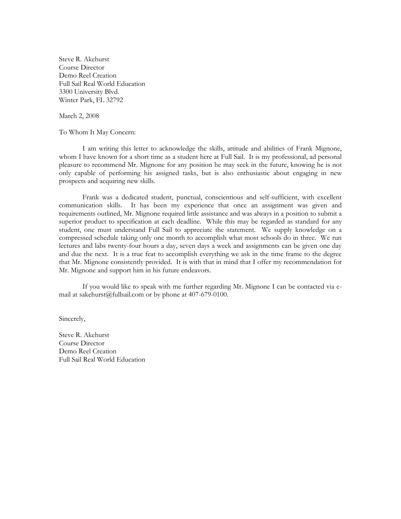Steve R. Akehurst Course Director Demo Reel Creation Full Sail Real World Education 3300 University Blvd. Winter Park, FL 32792

March 2, 2008

To Whom It May Concern:

I am writing this letter to acknowledge the skills, attitude and abilities of Frank Mignone, whom I have known for a short time as a student here at Full Sail. It is my professional, ad personal pleasure to recommend Mr. Mignone for any position he may seek in the future, knowing he is not only capable of performing his assigned tasks, but is also enthusiastic about engaging in new prospects and acquiring new skills.

Frank was a dedicated student, punctual, conscientious and self-sufficient, with excellent communication skills. It has been my experience that once an assignment was given and requirements outlined, Mr. Mignone required little assistance and was always in a position to submit a superior product to specification at each deadline. While this may be regarded as standard for any student, one must understand Full Sail to appreciate the statement. We supply knowledge on a compressed schedule taking only one month to accomplish what most schools do in three. We run lectures and labs twenty-four hours a day, seven days a week and assignments can be given one day and due the next. It is a true feat to accomplish everything we ask in the time frame to the degree that Mr. Mignone consistently provided. It is with that in mind that I offer my recommendation for Mr. Mignone and support him in his future endeavors.

If you would like to speak with me further regarding Mr. Mignone I can be contacted via email at sakehurst@fullsail.com or by phone at 407-679-0100.

Sincerely,

Steve R. Akehurst Course Director Demo Reel Creation Full Sail Real World Education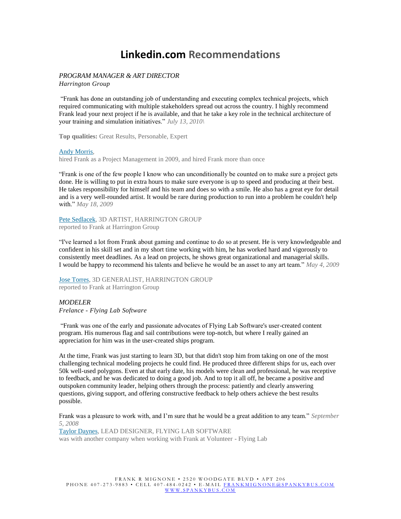### **Linkedin.com Recommendations**

#### *PROGRAM MANAGER & ART DIRECTOR*

*Harrington Group*

"Frank has done an outstanding job of understanding and executing complex technical projects, which required communicating with multiple stakeholders spread out across the country. I highly recommend Frank lead your next project if he is available, and that he take a key role in the technical architecture of your training and simulation initiatives." *July 13, 2010\*

**Top qualities:** Great Results, Personable, Expert

#### Andy [Morris,](http://www.linkedin.com/profile/view?id=5029932&noCreateProposal=true&goback=%2Enmp_*1_*1_*1_*1_*1%2Enpe_*1_en*4US_*1_*1)

hired Frank as a Project Management in 2009, and hired Frank more than once

"Frank is one of the few people I know who can unconditionally be counted on to make sure a project gets done. He is willing to put in extra hours to make sure everyone is up to speed and producing at their best. He takes responsibility for himself and his team and does so with a smile. He also has a great eye for detail and is a very well-rounded artist. It would be rare during production to run into a problem he couldn't help with." *May 18, 2009*

Pete [Sedlacek,](http://www.linkedin.com/profile/view?id=13574196&noCreateProposal=true&goback=%2Enmp_*1_*1_*1_*1_*1%2Enpe_*1_en*4US_*1_*1) 3D ARTIST, HARRINGTON GROUP reported to Frank at Harrington Group

"I've learned a lot from Frank about gaming and continue to do so at present. He is very knowledgeable and confident in his skill set and in my short time working with him, he has worked hard and vigorously to consistently meet deadlines. As a lead on projects, he shows great organizational and managerial skills. I would be happy to recommend his talents and believe he would be an asset to any art team." *May 4, 2009*

Jose [Torres,](http://www.linkedin.com/profile/view?id=15422621&noCreateProposal=true&goback=%2Enmp_*1_*1_*1_*1_*1%2Enpe_*1_en*4US_*1_*1) 3D GENERALIST, HARRINGTON GROUP reported to Frank at Harrington Group

#### *MODELER*

*Frelance - Flying Lab Software*

"Frank was one of the early and passionate advocates of Flying Lab Software's user-created content program. His numerous flag and sail contributions were top-notch, but where I really gained an appreciation for him was in the user-created ships program.

At the time, Frank was just starting to learn 3D, but that didn't stop him from taking on one of the most challenging technical modeling projects he could find. He produced three different ships for us, each over 50k well-used polygons. Even at that early date, his models were clean and professional, he was receptive to feedback, and he was dedicated to doing a good job. And to top it all off, he became a positive and outspoken community leader, helping others through the process: patiently and clearly answering questions, giving support, and offering constructive feedback to help others achieve the best results possible.

Frank was a pleasure to work with, and I'm sure that he would be a great addition to any team." *September 5, 2008*

Taylor [Daynes,](http://www.linkedin.com/profile/view?id=8297217&noCreateProposal=true&goback=%2Enmp_*1_*1_*1_*1_*1%2Enpe_*1_en*4US_*1_*1) LEAD DESIGNER, FLYING LAB SOFTWARE was with another company when working with Frank at Volunteer - Flying Lab